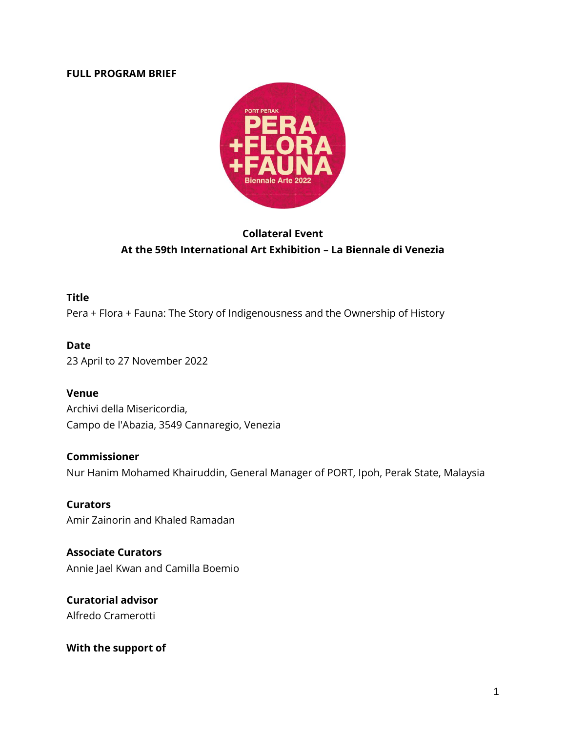#### **FULL PROGRAM BRIEF**



## **Collateral Event At the 59th International Art Exhibition – La Biennale di Venezia**

#### **Title**

Pera + Flora + Fauna: The Story of Indigenousness and the Ownership of History

#### **Date**

23 April to 27 November 2022

## **Venue**

Archivi della Misericordia, Campo de l'Abazia, 3549 Cannaregio, Venezia

#### **Commissioner**

Nur Hanim Mohamed Khairuddin, General Manager of PORT, Ipoh, Perak State, Malaysia

**Curators** Amir Zainorin and Khaled Ramadan

**Associate Curators** Annie Jael Kwan and Camilla Boemio

**Curatorial advisor**  Alfredo Cramerotti

## **With the support of**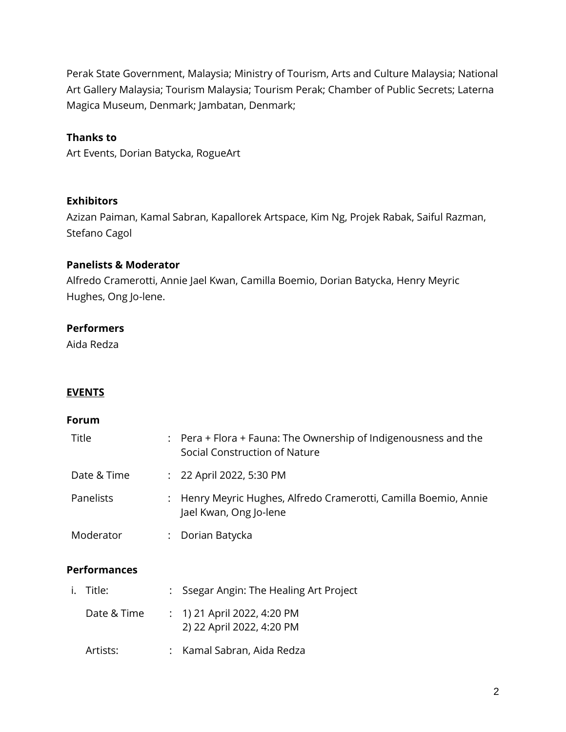Perak State Government, Malaysia; Ministry of Tourism, Arts and Culture Malaysia; National Art Gallery Malaysia; Tourism Malaysia; Tourism Perak; Chamber of Public Secrets; Laterna Magica Museum, Denmark; Jambatan, Denmark;

## **Thanks to**

Art Events, Dorian Batycka, RogueArt

#### **Exhibitors**

Azizan Paiman, Kamal Sabran, Kapallorek Artspace, Kim Ng, Projek Rabak, Saiful Razman, Stefano Cagol

#### **Panelists & Moderator**

Alfredo Cramerotti, Annie Jael Kwan, Camilla Boemio, Dorian Batycka, Henry Meyric Hughes, Ong Jo-lene.

### **Performers**

Aida Redza

#### **EVENTS**

#### **Forum**

| Title       | $\therefore$ Pera + Flora + Fauna: The Ownership of Indigenousness and the<br>Social Construction of Nature |
|-------------|-------------------------------------------------------------------------------------------------------------|
| Date & Time | : 22 April 2022, 5:30 PM                                                                                    |
| Panelists   | : Henry Meyric Hughes, Alfredo Cramerotti, Camilla Boemio, Annie<br>Jael Kwan, Ong Jo-lene                  |
| Moderator   | Dorian Batycka                                                                                              |

#### **Performances**

| i. Title:   | : Ssegar Angin: The Healing Art Project                  |
|-------------|----------------------------------------------------------|
| Date & Time | : 1) 21 April 2022, 4:20 PM<br>2) 22 April 2022, 4:20 PM |
| Artists:    | : Kamal Sabran, Aida Redza                               |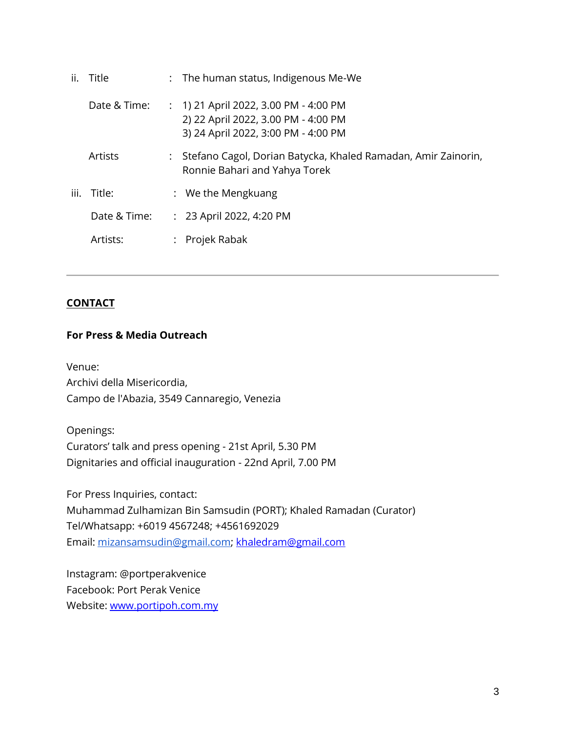| ii.  | Title          | : The human status, Indigenous Me-We                                                                                |
|------|----------------|---------------------------------------------------------------------------------------------------------------------|
|      | Date & Time:   | : 1) 21 April 2022, 3.00 PM - 4:00 PM<br>2) 22 April 2022, 3.00 PM - 4:00 PM<br>3) 24 April 2022, 3:00 PM - 4:00 PM |
|      | <b>Artists</b> | Stefano Cagol, Dorian Batycka, Khaled Ramadan, Amir Zainorin,<br>Ronnie Bahari and Yahya Torek                      |
| iii. | Title:         | $:$ We the Mengkuang                                                                                                |
|      | Date & Time:   | : 23 April 2022, 4:20 PM                                                                                            |
|      | Artists:       | : Projek Rabak                                                                                                      |

### **CONTACT**

#### **For Press & Media Outreach**

Venue: Archivi della Misericordia, Campo de l'Abazia, 3549 Cannaregio, Venezia

Openings: Curators' talk and press opening - 21st April, 5.30 PM Dignitaries and official inauguration - 22nd April, 7.00 PM

For Press Inquiries, contact: Muhammad Zulhamizan Bin Samsudin (PORT); Khaled Ramadan (Curator) Tel/Whatsapp: +6019 4567248; +4561692029 Email: [mizansamsudin@gmail.com;](mailto:mizansamsudin@gmail.com) [khaledram@gmail.com](mailto:khaledram@gmail.com)

Instagram: @portperakvenice Facebook: Port Perak Venice Website: www.portipoh.com.my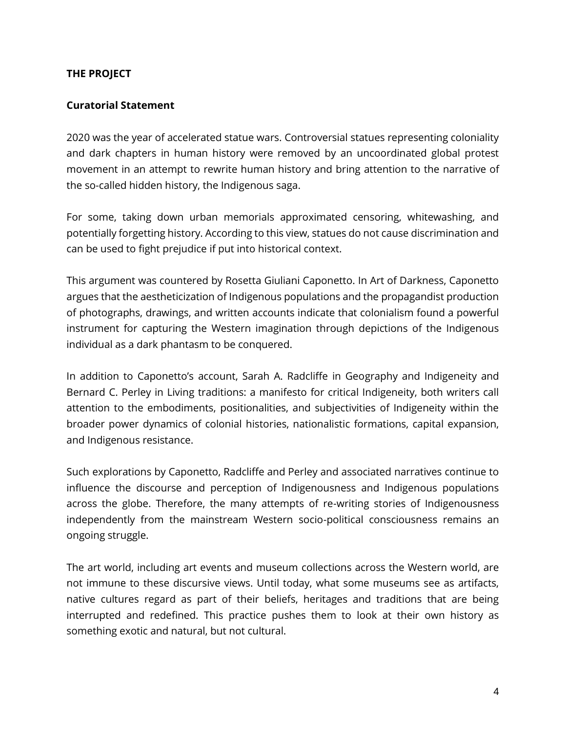### **THE PROJECT**

### **Curatorial Statement**

2020 was the year of accelerated statue wars. Controversial statues representing coloniality and dark chapters in human history were removed by an uncoordinated global protest movement in an attempt to rewrite human history and bring attention to the narrative of the so-called hidden history, the Indigenous saga.

For some, taking down urban memorials approximated censoring, whitewashing, and potentially forgetting history. According to this view, statues do not cause discrimination and can be used to fight prejudice if put into historical context.

This argument was countered by Rosetta Giuliani Caponetto. In Art of Darkness, Caponetto argues that the aestheticization of Indigenous populations and the propagandist production of photographs, drawings, and written accounts indicate that colonialism found a powerful instrument for capturing the Western imagination through depictions of the Indigenous individual as a dark phantasm to be conquered.

In addition to Caponetto's account, Sarah A. Radcliffe in Geography and Indigeneity and Bernard C. Perley in Living traditions: a manifesto for critical Indigeneity, both writers call attention to the embodiments, positionalities, and subjectivities of Indigeneity within the broader power dynamics of colonial histories, nationalistic formations, capital expansion, and Indigenous resistance.

Such explorations by Caponetto, Radcliffe and Perley and associated narratives continue to influence the discourse and perception of Indigenousness and Indigenous populations across the globe. Therefore, the many attempts of re-writing stories of Indigenousness independently from the mainstream Western socio-political consciousness remains an ongoing struggle.

The art world, including art events and museum collections across the Western world, are not immune to these discursive views. Until today, what some museums see as artifacts, native cultures regard as part of their beliefs, heritages and traditions that are being interrupted and redefined. This practice pushes them to look at their own history as something exotic and natural, but not cultural.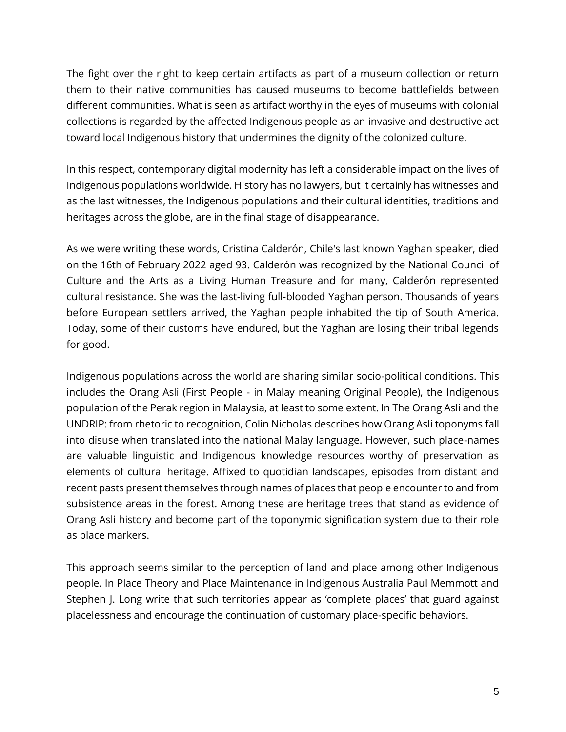The fight over the right to keep certain artifacts as part of a museum collection or return them to their native communities has caused museums to become battlefields between different communities. What is seen as artifact worthy in the eyes of museums with colonial collections is regarded by the affected Indigenous people as an invasive and destructive act toward local Indigenous history that undermines the dignity of the colonized culture.

In this respect, contemporary digital modernity has left a considerable impact on the lives of Indigenous populations worldwide. History has no lawyers, but it certainly has witnesses and as the last witnesses, the Indigenous populations and their cultural identities, traditions and heritages across the globe, are in the final stage of disappearance.

As we were writing these words, Cristina Calderón, Chile's last known Yaghan speaker, died on the 16th of February 2022 aged 93. Calderón was recognized by the National Council of Culture and the Arts as a Living Human Treasure and for many, Calderón represented cultural resistance. She was the last-living full-blooded Yaghan person. Thousands of years before European settlers arrived, the Yaghan people inhabited the tip of South America. Today, some of their customs have endured, but the Yaghan are losing their tribal legends for good.

Indigenous populations across the world are sharing similar socio-political conditions. This includes the Orang Asli (First People - in Malay meaning Original People), the Indigenous population of the Perak region in Malaysia, at least to some extent. In The Orang Asli and the UNDRIP: from rhetoric to recognition, Colin Nicholas describes how Orang Asli toponyms fall into disuse when translated into the national Malay language. However, such place-names are valuable linguistic and Indigenous knowledge resources worthy of preservation as elements of cultural heritage. Affixed to quotidian landscapes, episodes from distant and recent pasts present themselves through names of places that people encounter to and from subsistence areas in the forest. Among these are heritage trees that stand as evidence of Orang Asli history and become part of the toponymic signification system due to their role as place markers.

This approach seems similar to the perception of land and place among other Indigenous people. In Place Theory and Place Maintenance in Indigenous Australia Paul Memmott and Stephen J. Long write that such territories appear as 'complete places' that guard against placelessness and encourage the continuation of customary place-specific behaviors.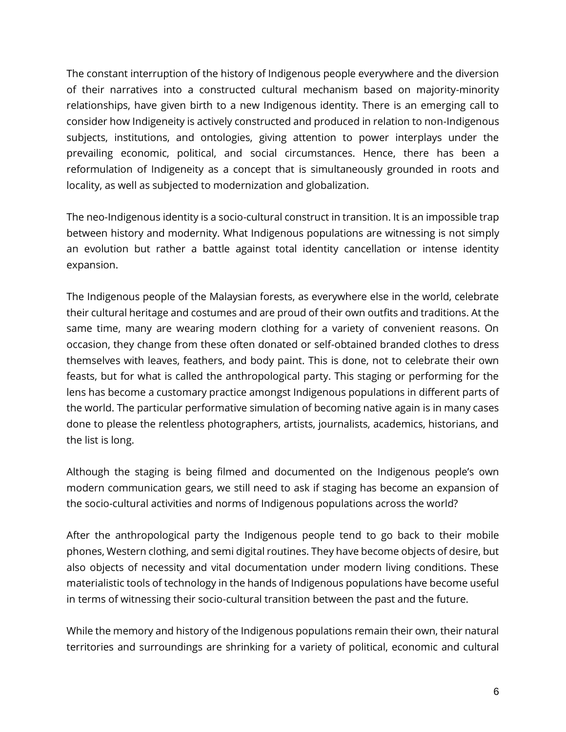The constant interruption of the history of Indigenous people everywhere and the diversion of their narratives into a constructed cultural mechanism based on majority-minority relationships, have given birth to a new Indigenous identity. There is an emerging call to consider how Indigeneity is actively constructed and produced in relation to non-Indigenous subjects, institutions, and ontologies, giving attention to power interplays under the prevailing economic, political, and social circumstances. Hence, there has been a reformulation of Indigeneity as a concept that is simultaneously grounded in roots and locality, as well as subjected to modernization and globalization.

The neo-Indigenous identity is a socio-cultural construct in transition. It is an impossible trap between history and modernity. What Indigenous populations are witnessing is not simply an evolution but rather a battle against total identity cancellation or intense identity expansion.

The Indigenous people of the Malaysian forests, as everywhere else in the world, celebrate their cultural heritage and costumes and are proud of their own outfits and traditions. At the same time, many are wearing modern clothing for a variety of convenient reasons. On occasion, they change from these often donated or self-obtained branded clothes to dress themselves with leaves, feathers, and body paint. This is done, not to celebrate their own feasts, but for what is called the anthropological party. This staging or performing for the lens has become a customary practice amongst Indigenous populations in different parts of the world. The particular performative simulation of becoming native again is in many cases done to please the relentless photographers, artists, journalists, academics, historians, and the list is long.

Although the staging is being filmed and documented on the Indigenous people's own modern communication gears, we still need to ask if staging has become an expansion of the socio-cultural activities and norms of Indigenous populations across the world?

After the anthropological party the Indigenous people tend to go back to their mobile phones, Western clothing, and semi digital routines. They have become objects of desire, but also objects of necessity and vital documentation under modern living conditions. These materialistic tools of technology in the hands of Indigenous populations have become useful in terms of witnessing their socio-cultural transition between the past and the future.

While the memory and history of the Indigenous populations remain their own, their natural territories and surroundings are shrinking for a variety of political, economic and cultural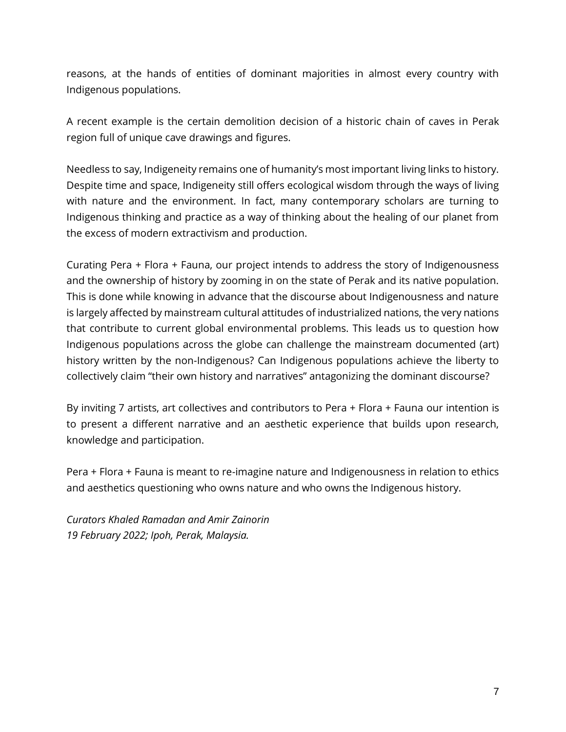reasons, at the hands of entities of dominant majorities in almost every country with Indigenous populations.

A recent example is the certain demolition decision of a historic chain of caves in Perak region full of unique cave drawings and figures.

Needless to say, Indigeneity remains one of humanity's most important living links to history. Despite time and space, Indigeneity still offers ecological wisdom through the ways of living with nature and the environment. In fact, many contemporary scholars are turning to Indigenous thinking and practice as a way of thinking about the healing of our planet from the excess of modern extractivism and production.

Curating Pera + Flora + Fauna, our project intends to address the story of Indigenousness and the ownership of history by zooming in on the state of Perak and its native population. This is done while knowing in advance that the discourse about Indigenousness and nature is largely affected by mainstream cultural attitudes of industrialized nations, the very nations that contribute to current global environmental problems. This leads us to question how Indigenous populations across the globe can challenge the mainstream documented (art) history written by the non-Indigenous? Can Indigenous populations achieve the liberty to collectively claim "their own history and narratives" antagonizing the dominant discourse?

By inviting 7 artists, art collectives and contributors to Pera + Flora + Fauna our intention is to present a different narrative and an aesthetic experience that builds upon research, knowledge and participation.

Pera + Flora + Fauna is meant to re-imagine nature and Indigenousness in relation to ethics and aesthetics questioning who owns nature and who owns the Indigenous history.

*Curators Khaled Ramadan and Amir Zainorin 19 February 2022; Ipoh, Perak, Malaysia.*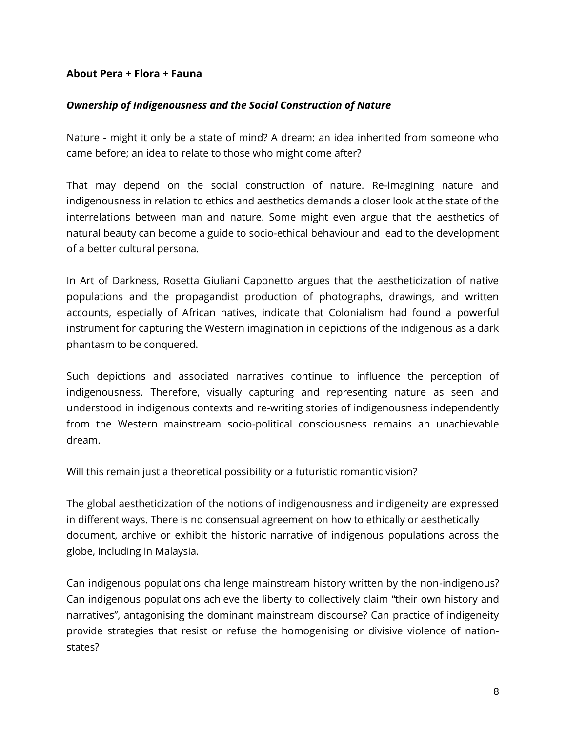### **About Pera + Flora + Fauna**

#### *Ownership of Indigenousness and the Social Construction of Nature*

Nature - might it only be a state of mind? A dream: an idea inherited from someone who came before; an idea to relate to those who might come after?

That may depend on the social construction of nature. Re-imagining nature and indigenousness in relation to ethics and aesthetics demands a closer look at the state of the interrelations between man and nature. Some might even argue that the aesthetics of natural beauty can become a guide to socio-ethical behaviour and lead to the development of a better cultural persona.

In Art of Darkness, Rosetta Giuliani Caponetto argues that the aestheticization of native populations and the propagandist production of photographs, drawings, and written accounts, especially of African natives, indicate that Colonialism had found a powerful instrument for capturing the Western imagination in depictions of the indigenous as a dark phantasm to be conquered.

Such depictions and associated narratives continue to influence the perception of indigenousness. Therefore, visually capturing and representing nature as seen and understood in indigenous contexts and re-writing stories of indigenousness independently from the Western mainstream socio-political consciousness remains an unachievable dream.

Will this remain just a theoretical possibility or a futuristic romantic vision?

The global aestheticization of the notions of indigenousness and indigeneity are expressed in different ways. There is no consensual agreement on how to ethically or aesthetically document, archive or exhibit the historic narrative of indigenous populations across the globe, including in Malaysia.

Can indigenous populations challenge mainstream history written by the non-indigenous? Can indigenous populations achieve the liberty to collectively claim "their own history and narratives", antagonising the dominant mainstream discourse? Can practice of indigeneity provide strategies that resist or refuse the homogenising or divisive violence of nationstates?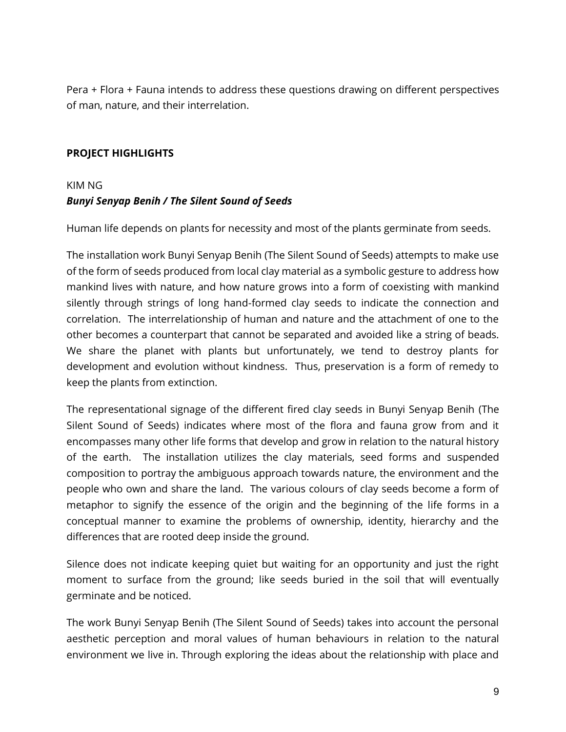Pera + Flora + Fauna intends to address these questions drawing on different perspectives of man, nature, and their interrelation.

## **PROJECT HIGHLIGHTS**

# KIM NG *Bunyi Senyap Benih / The Silent Sound of Seeds*

Human life depends on plants for necessity and most of the plants germinate from seeds.

The installation work Bunyi Senyap Benih (The Silent Sound of Seeds) attempts to make use of the form of seeds produced from local clay material as a symbolic gesture to address how mankind lives with nature, and how nature grows into a form of coexisting with mankind silently through strings of long hand-formed clay seeds to indicate the connection and correlation. The interrelationship of human and nature and the attachment of one to the other becomes a counterpart that cannot be separated and avoided like a string of beads. We share the planet with plants but unfortunately, we tend to destroy plants for development and evolution without kindness. Thus, preservation is a form of remedy to keep the plants from extinction.

The representational signage of the different fired clay seeds in Bunyi Senyap Benih (The Silent Sound of Seeds) indicates where most of the flora and fauna grow from and it encompasses many other life forms that develop and grow in relation to the natural history of the earth. The installation utilizes the clay materials, seed forms and suspended composition to portray the ambiguous approach towards nature, the environment and the people who own and share the land. The various colours of clay seeds become a form of metaphor to signify the essence of the origin and the beginning of the life forms in a conceptual manner to examine the problems of ownership, identity, hierarchy and the differences that are rooted deep inside the ground.

Silence does not indicate keeping quiet but waiting for an opportunity and just the right moment to surface from the ground; like seeds buried in the soil that will eventually germinate and be noticed.

The work Bunyi Senyap Benih (The Silent Sound of Seeds) takes into account the personal aesthetic perception and moral values of human behaviours in relation to the natural environment we live in. Through exploring the ideas about the relationship with place and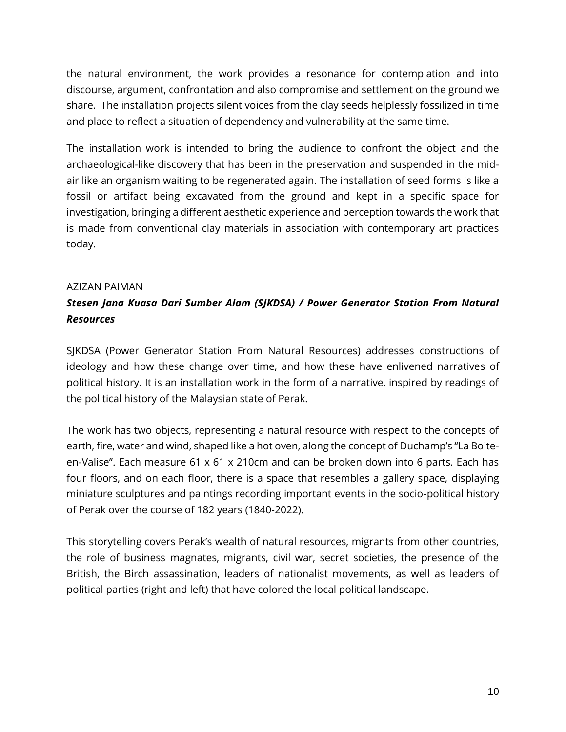the natural environment, the work provides a resonance for contemplation and into discourse, argument, confrontation and also compromise and settlement on the ground we share. The installation projects silent voices from the clay seeds helplessly fossilized in time and place to reflect a situation of dependency and vulnerability at the same time.

The installation work is intended to bring the audience to confront the object and the archaeological-like discovery that has been in the preservation and suspended in the midair like an organism waiting to be regenerated again. The installation of seed forms is like a fossil or artifact being excavated from the ground and kept in a specific space for investigation, bringing a different aesthetic experience and perception towards the work that is made from conventional clay materials in association with contemporary art practices today.

### AZIZAN PAIMAN

## *Stesen Jana Kuasa Dari Sumber Alam (SJKDSA) / Power Generator Station From Natural Resources*

SJKDSA (Power Generator Station From Natural Resources) addresses constructions of ideology and how these change over time, and how these have enlivened narratives of political history. It is an installation work in the form of a narrative, inspired by readings of the political history of the Malaysian state of Perak.

The work has two objects, representing a natural resource with respect to the concepts of earth, fire, water and wind, shaped like a hot oven, along the concept of Duchamp's "La Boiteen-Valise". Each measure 61 x 61 x 210cm and can be broken down into 6 parts. Each has four floors, and on each floor, there is a space that resembles a gallery space, displaying miniature sculptures and paintings recording important events in the socio-political history of Perak over the course of 182 years (1840-2022).

This storytelling covers Perak's wealth of natural resources, migrants from other countries, the role of business magnates, migrants, civil war, secret societies, the presence of the British, the Birch assassination, leaders of nationalist movements, as well as leaders of political parties (right and left) that have colored the local political landscape.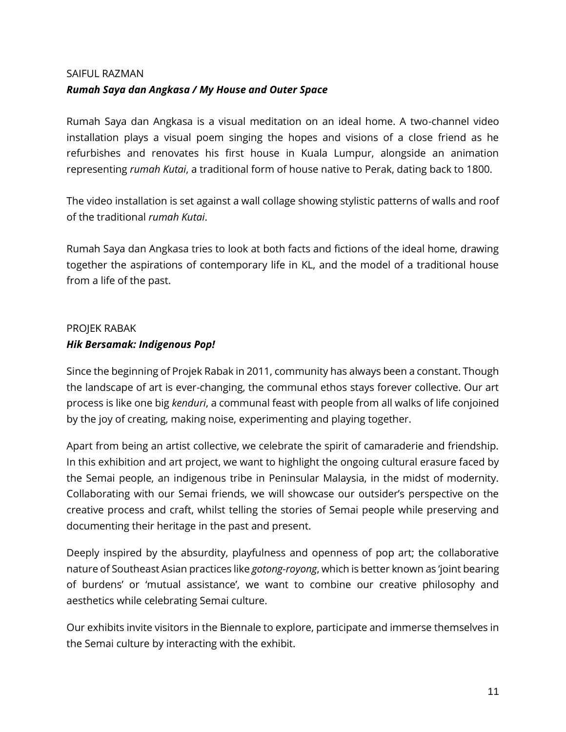# SAIFUL RAZMAN *Rumah Saya dan Angkasa / My House and Outer Space*

Rumah Saya dan Angkasa is a visual meditation on an ideal home. A two-channel video installation plays a visual poem singing the hopes and visions of a close friend as he refurbishes and renovates his first house in Kuala Lumpur, alongside an animation representing *rumah Kutai*, a traditional form of house native to Perak, dating back to 1800.

The video installation is set against a wall collage showing stylistic patterns of walls and roof of the traditional *rumah Kutai*.

Rumah Saya dan Angkasa tries to look at both facts and fictions of the ideal home, drawing together the aspirations of contemporary life in KL, and the model of a traditional house from a life of the past.

## PROJEK RABAK *Hik Bersamak: Indigenous Pop!*

Since the beginning of Projek Rabak in 2011, community has always been a constant. Though the landscape of art is ever-changing, the communal ethos stays forever collective. Our art process is like one big *kenduri*, a communal feast with people from all walks of life conjoined by the joy of creating, making noise, experimenting and playing together.

Apart from being an artist collective, we celebrate the spirit of camaraderie and friendship. In this exhibition and art project, we want to highlight the ongoing cultural erasure faced by the Semai people, an indigenous tribe in Peninsular Malaysia, in the midst of modernity. Collaborating with our Semai friends, we will showcase our outsider's perspective on the creative process and craft, whilst telling the stories of Semai people while preserving and documenting their heritage in the past and present.

Deeply inspired by the absurdity, playfulness and openness of pop art; the collaborative nature of Southeast Asian practices like *gotong-royong*, which is better known as 'joint bearing of burdens' or 'mutual assistance', we want to combine our creative philosophy and aesthetics while celebrating Semai culture.

Our exhibits invite visitors in the Biennale to explore, participate and immerse themselves in the Semai culture by interacting with the exhibit.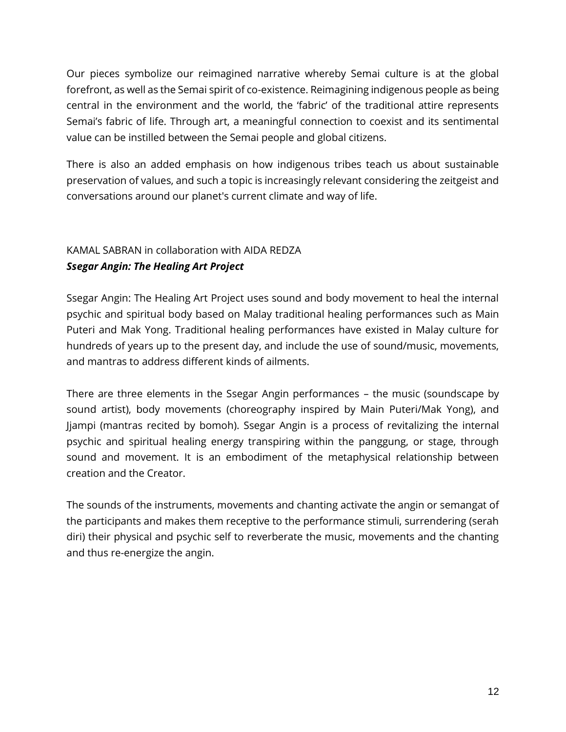Our pieces symbolize our reimagined narrative whereby Semai culture is at the global forefront, as well as the Semai spirit of co-existence. Reimagining indigenous people as being central in the environment and the world, the 'fabric' of the traditional attire represents Semai's fabric of life. Through art, a meaningful connection to coexist and its sentimental value can be instilled between the Semai people and global citizens.

There is also an added emphasis on how indigenous tribes teach us about sustainable preservation of values, and such a topic is increasingly relevant considering the zeitgeist and conversations around our planet's current climate and way of life.

# KAMAL SABRAN in collaboration with AIDA REDZA

## *Ssegar Angin: The Healing Art Project*

Ssegar Angin: The Healing Art Project uses sound and body movement to heal the internal psychic and spiritual body based on Malay traditional healing performances such as Main Puteri and Mak Yong. Traditional healing performances have existed in Malay culture for hundreds of years up to the present day, and include the use of sound/music, movements, and mantras to address different kinds of ailments.

There are three elements in the Ssegar Angin performances – the music (soundscape by sound artist), body movements (choreography inspired by Main Puteri/Mak Yong), and Jjampi (mantras recited by bomoh). Ssegar Angin is a process of revitalizing the internal psychic and spiritual healing energy transpiring within the panggung, or stage, through sound and movement. It is an embodiment of the metaphysical relationship between creation and the Creator.

The sounds of the instruments, movements and chanting activate the angin or semangat of the participants and makes them receptive to the performance stimuli, surrendering (serah diri) their physical and psychic self to reverberate the music, movements and the chanting and thus re-energize the angin.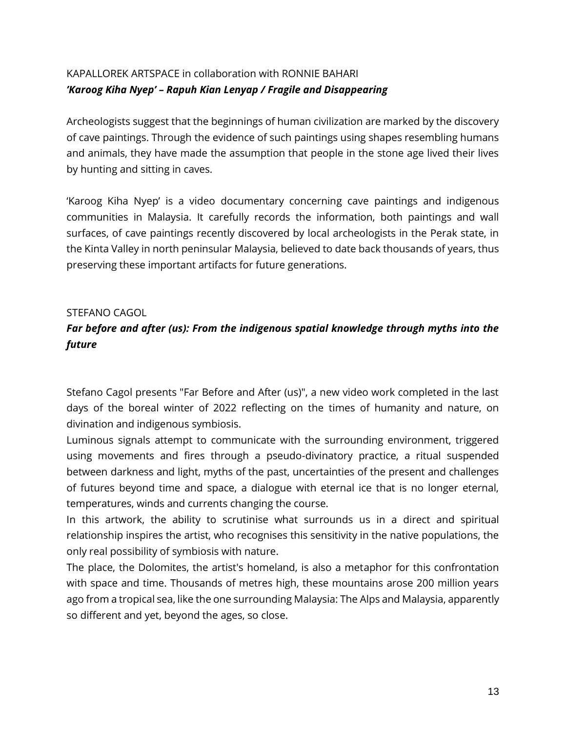## KAPALLOREK ARTSPACE in collaboration with RONNIE BAHARI *'Karoog Kiha Nyep' – Rapuh Kian Lenyap / Fragile and Disappearing*

Archeologists suggest that the beginnings of human civilization are marked by the discovery of cave paintings. Through the evidence of such paintings using shapes resembling humans and animals, they have made the assumption that people in the stone age lived their lives by hunting and sitting in caves.

'Karoog Kiha Nyep' is a video documentary concerning cave paintings and indigenous communities in Malaysia. It carefully records the information, both paintings and wall surfaces, of cave paintings recently discovered by local archeologists in the Perak state, in the Kinta Valley in north peninsular Malaysia, believed to date back thousands of years, thus preserving these important artifacts for future generations.

#### STEFANO CAGOL

## *Far before and after (us): From the indigenous spatial knowledge through myths into the future*

Stefano Cagol presents "Far Before and After (us)", a new video work completed in the last days of the boreal winter of 2022 reflecting on the times of humanity and nature, on divination and indigenous symbiosis.

Luminous signals attempt to communicate with the surrounding environment, triggered using movements and fires through a pseudo-divinatory practice, a ritual suspended between darkness and light, myths of the past, uncertainties of the present and challenges of futures beyond time and space, a dialogue with eternal ice that is no longer eternal, temperatures, winds and currents changing the course.

In this artwork, the ability to scrutinise what surrounds us in a direct and spiritual relationship inspires the artist, who recognises this sensitivity in the native populations, the only real possibility of symbiosis with nature.

The place, the Dolomites, the artist's homeland, is also a metaphor for this confrontation with space and time. Thousands of metres high, these mountains arose 200 million years ago from a tropical sea, like the one surrounding Malaysia: The Alps and Malaysia, apparently so different and yet, beyond the ages, so close.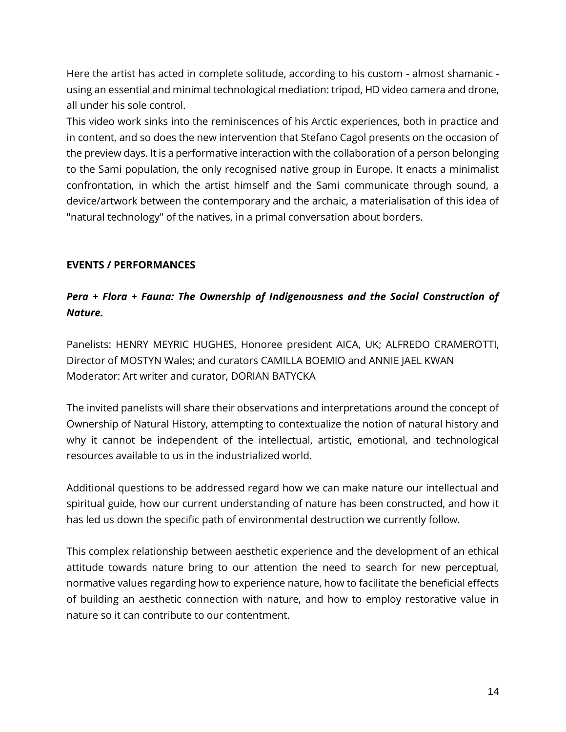Here the artist has acted in complete solitude, according to his custom - almost shamanic using an essential and minimal technological mediation: tripod, HD video camera and drone, all under his sole control.

This video work sinks into the reminiscences of his Arctic experiences, both in practice and in content, and so does the new intervention that Stefano Cagol presents on the occasion of the preview days. It is a performative interaction with the collaboration of a person belonging to the Sami population, the only recognised native group in Europe. It enacts a minimalist confrontation, in which the artist himself and the Sami communicate through sound, a device/artwork between the contemporary and the archaic, a materialisation of this idea of "natural technology" of the natives, in a primal conversation about borders.

## **EVENTS / PERFORMANCES**

## *Pera + Flora + Fauna: The Ownership of Indigenousness and the Social Construction of Nature.*

Panelists: HENRY MEYRIC HUGHES, Honoree president AICA, UK; ALFREDO CRAMEROTTI, Director of MOSTYN Wales; and curators CAMILLA BOEMIO and ANNIE JAEL KWAN Moderator: Art writer and curator, DORIAN BATYCKA

The invited panelists will share their observations and interpretations around the concept of Ownership of Natural History, attempting to contextualize the notion of natural history and why it cannot be independent of the intellectual, artistic, emotional, and technological resources available to us in the industrialized world.

Additional questions to be addressed regard how we can make nature our intellectual and spiritual guide, how our current understanding of nature has been constructed, and how it has led us down the specific path of environmental destruction we currently follow.

This complex relationship between aesthetic experience and the development of an ethical attitude towards nature bring to our attention the need to search for new perceptual, normative values regarding how to experience nature, how to facilitate the beneficial effects of building an aesthetic connection with nature, and how to employ restorative value in nature so it can contribute to our contentment.